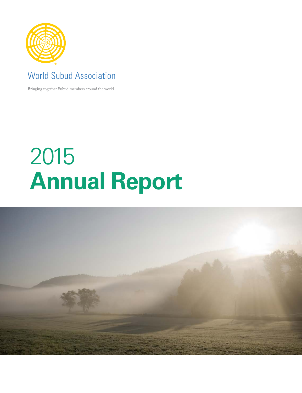

## World Subud Association

Bringing together Subud members around the world

# **Annual Report** 2015

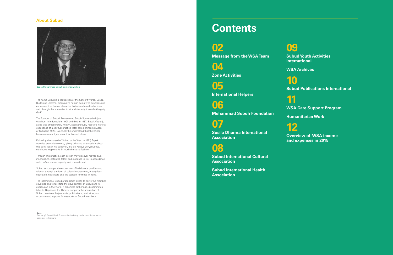The name Subud is a contraction of the Sanskrit words, Susila, Budhi and Dharma, meaning: ´a human being who develops and expresses true human character that arises from his/her inner self, through the surrender, trust and sincerity towards Almighty God"

The founder of Subud, Muhammad Subuh Sumohadiwidjojo, was born in Indonesia in 1901 and died in 1987. Bapak (father), as he was affectionately known, spontaneously received his first experience of a spiritual practice (later called latihan kejiwaan of Subud) in 1925. Eventually he understood that the latihan kejiwaan was not just meant for himself alone.

Following the spread of Subud to the West in 1957, Bapak travelled around the world, giving talks and explanations about this path. Today, his daughter, Ibu Siti Rahayu Wiryohudoyo, continues to give talks in much the same fashion.

Through this practice, each person may discover his/her own inner nature, potential, talent and guidance in life, in accordance with his/her unique capacity and commitment.

Subud encourages the expression of individual's qualities and talents, through the form of cultural expressions, enterprises, education, healthcare and the support for those in need.

The international Subud organization exists to serve the member countries and to facilitate the development of Subud and its expression in the world. It organizes gatherings, disseminates talks by Bapak and Ibu Rahayu, supports the acquisition of Subud premises, helper visits, publications, web sites, and access to and support for networks of Subud members.

### **About Subud**



Bapak Muhammad Subuh Sumohadiwidjojo

**Cover**

Germany's famed Black Forest - the backdrop to the next Subud World Congress in Freiburg.

## **Contents**

**02** 



**04** 

**Zone Activities**

**05** 

**International Helpers**

**06 Muhammad Subuh Foundation**

**07** 

**Susila Dharma International Association** 

**08** 

**Subud International Cultural Association**

**Subud International Heal th** 

**Association**

**09** 

**Subud Youth Activities International**

**WSA Archives**

**10** 

**Subud Publications International**

**11** 

**WSA Care Support Program**

**Humanitarian Work** 

**12 Overview of WSA income and expenses in 2015**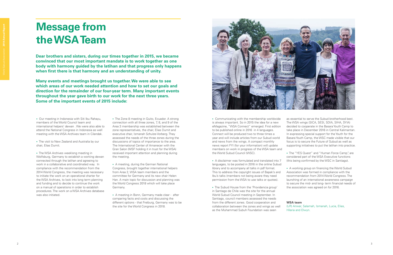- Our meeting in Indonesia with Siti Ibu Rahayu, members of the World Council team and international helpers' dewan . We were also able to attend the National Congress in Indonesia as well meeting with the WSA Archives team in Cilandak.
- The visit to New Zealand and Australia by our chair, Elias Dumit.

• The WSA Archives weeklong meeting in Wolfsburg, Germany to establish a working dewan connected through the latihan and agreeing to work in a collaborative and coordinated way. In compliance with the recommendation from the 2014 World Congress, the meeting was necessary to initiate the work on an operational charter for the WSA Archives, to look into long term planning and funding and to decide to continue the work on a manual of operations in order to establish procedures. The work on a WSA Archives database was also initiated.

• The Zone 8 meeting in Quito, Ecuador. A strong connection with all three zones, 7, 8, and 9 of the Area 3 membership was established between the zone representatives, the chair, Elias Dumit and executive chair, Ismanah Schulze-Vorberg. They assessed the needs of the three zones during the discussions of topics of importance to the area. The International Center of Amanecer with the Gran Salon (MSF holding it in trust for the WSA) received important attention and planning during the meeting.

• A meeting in Bonn, Germany made clear - after comparing facts and costs and discussing the different options - that Freiburg, Germany was to be the site for the World Congress in 2018.



• A meeting, during the German National Congress, brought together international helpers from Area 2, WSA team members and the committee for Germany and its new chair Helen Han. A main topic for discussion and planning was the World Congress 2018 which will take place Germany.

**Dear brothers and sisters, during our times together in 2015, we became convinced that our most important mandate is to work together as one body with harmony guided by the latihan and that progress only happens when first there is that harmony and an understanding of unity.**

> • The "YES Quest" and "Human Force Camp" are considered part of the WSA Executive functions (this being confirmed by the WSC in Santiago).

• A working group on financing the World Subud Association was formed in compliance with the recommendation from 2014 World Congress. The launching of an international awareness campaign to secure the mid- and long- term financial needs of the association was agreed on for 2016.

**Many events and meetings brought us together. We were able to see which areas of our work needed attention and how to set our goals and direction for the remainder of our four-year term. Many important events throughout the year gave birth to our work for the next three years. Some of the important events of 2015 include:**

> • Communicating with the membership worldwide is always important. So in 2015 the idea for a new eMagazine, "WSA Connect" emerged. First edition to be published online in 2016 in 4 languages. Connect will be produced two to three times a year and will include articles from our Subud world and news from the wings. A compact monthly news report FYI (for your information) will update members on work in progress of the WSA team and the World Subud Council (WSC).

• A disclaimer was formulated and translated into 7 languages, to be posted in 2016 in the online Subud library and to accompany all talks in pdf format. This to address the copyright issues of Bapak's and Ibu's talks (members not being aware they need permission from the WSA to use talks or quotes).

• The Subud House from the 'Providencia group' in Santiago de Chile was the site for the annual World Subud Council meeting in September. In Santiago, council members assessed the needs from the different zones. Good cooperation and collaboration between the zones and wings as well as the Muhammad Subuh Foundation was seen

as essential to serve the Subud brotherhood best. The WSA wings (SICA, SESI, SDIA, SIHA, SYIA) decided to cooperate in the Basara Youth Camp to take place in December 2016 in Central Kalimantan. In expressing special support for the Youth for the Basara Youth Camp, the WSC made visible that our focus is to secure the Future of Subud as well as supporting initiatives to put the latihan into practice.

**WSA team**

(L-R) Anwar, Salamah, Ismanah, Lucia, Elias,

Hilaria and Elwyn.

# **Message from the WSA Team**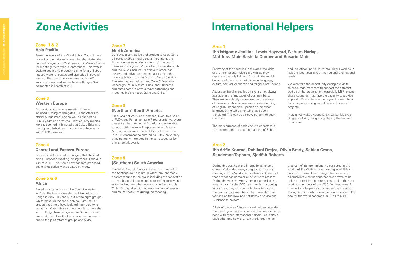## **Zone Activities**

Team members of the World Subud Council were hosted by the Indonesian membership during the national congress in West Java and in Wisma Subud for meetings with various enterprises. This was an exciting and highly productive time for all. Subud houses were renovated and upgraded in several areas of the zone. The zonal meeting for 2015 was postponed and will be held in Rungan Sari, Kalimantan in March of 2016.

Based on suggestions at the Council meeting in Chile, the bi-zonal meeting will be held in DR Congo in 2017. In Zone 6, out of the eight groups which make up the zone, only four are regular groups the others have isolated members who do latihan. Over this year the struggle to have the land in Kingantoko recognized as Subud property has continued. Health clinics have been opened due to the joint effort of groups and SDIA.

The World Subud Council meeting was hosted by the Santiago de Chile group which brought many positive results to the group including the renovation of their beautiful house and increased harmony and activities between the two groups in Santiago de Chile. Earthquakes did not stop the flow of events and council activities during the meeting.

## **Zone 3 Western Europe Zone 8**

Discussions at the zone meeting in Ireland included funding of delegates, IH and others to official Subud meetings as well as supporting Subud youth and archives. Eight country reports were presented. It is noted that Subud Britain is the biggest Subud country outside of Indonesia with 1,400 members.

Elias, Chair of WSA, and Ismanah, Executive Chair of WSA, and Fernando, zone 7 representative, were present at the meeting in Ecuador and were able to work with the zone 8 representative, Paloma Muñoz, on several important topics for the zone. In 2015, Amanecer celebrated its 25th Anniversary bringing many members in the zone together for this landmark event.

We also take the opportunity during our visits to encourage members to support the different bodies of the organization, especially MSF, among those countries that have the capacity to provide support. We also have encouraged the members to participate in wing and affiliate activities and

Zones 3 and 4 decided in Hungary that they will hold a European meeting joining zones 3 and 4 in July of 2016. This was a new concept proposed and enthusiastically anticipated by many.

2015 was a very active and productive year. Zone 7 hosted MSFs annual general meeting at the Amani Center near Washington DC. The board members, along with Zone 7 Rep. Fernando Fatah and the WSA Chair (as Ex officio trustee), had a very productive meeting and also visited the growing Subud group in Durham, North Carolina. The international helpers and Zone 7 Rep. also visited groups in México, Cuba and Suriname and participated in several WSA gatherings and meetings in Amanecer, Quito and Chile.

### **Zone 1 & 2 Asia Pacific**

### **Zone 5 & 6**

### **Africa**

### **Zone 9 (Southern) South America**

## **(Northern) South America**

### **Zone 4**

### **Central and Eastern Europe**

### **Zone 7 North America**

# **International Helpers**

For many of the countries in this area, the visits of the international helpers are vital as they represent the only link with Subud in the world, because of the isolation of distance, language, culture, political, economic and religious restrictions.

Access to Bapak's and Ibu's talks are not always available in the languages of our members. They are completely dependent on the advice of members who do have some understanding of English, Indonesian, Spanish or the other languages into which the talks have been translated. This can be a heavy burden for such members.

The main purpose of each visit we undertake is to help strengthen the understanding of Subud

and the latihan, particularly through our work with helpers, both local and at the regional and national

levels.

projects.

In 2015 we visited Australia, Sri Lanka, Malaysia, Singapore UAE, Hong Kong, Japan, Thailand and

Indonesia.

During this past year the international helpers of Area 2 attended many congresses, working meetings of the WSA and its affiliates. At each of these meetings some or all of us were present. During the year the Area 2 helpers attended the weekly calls for the WSA team, with most being in our Area, they did special latihans in support the team and its members. They have also been working on the new book of Bapak's Advice and Guidance to helpers.

All six of the Area 2 international helpers attended the meeting in Indonesia where they were able to bond with other international helpers, learn about each other and how they can work together as

a dewan of 18 international helpers around the world. At the WSA archive meeting in Wolfsburg much work was done to begin the process of all archivists working together as a dewan to be able to reach joint decisions among all of them as working members of the WSA Archives. Area 2 international helpers also attended the meeting in Bonn, Germany which saw the confirmation of the site for the world congress 2018 in Freiburg.

### **Area 1**

**IHs Istigome Jenkins, Lewis Hayward, Nahum Harlap, Matthew Moir, Rashida Cooper and Rosario Moir.**

### **Area 2**

### **IHs Arifin Konrad, Dahliani Drejza, Olivia Brady, Sahlan Crona, Sanderson Topham, Sjarifah Roberts**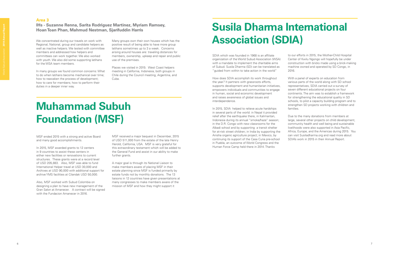World Subud Association **2014 Annual Report**

We concentrated during our travels on work with Regional, National, group and candidate helpers as well as inactive helpers. We tested with committee members and addressed how helpers and committees can work together. We also worked with youth. We also did some supporting latihans for the WSA team members.

In many groups we found common concerns: What to do when latihans become mechanical over time; how to reawaken the process of development; how to care for members; how to perform their duties in a deeper inner way.

Many groups own their own houses which has the positive result of being able to have more group latihans sometimes up to 3 a week. Concerns arising around houses are: traveling distances for members, ownership, upkeep and repair and public use of the premises.

Places we visited in 2015: West Coast helpers meeting in California, Indonesia, both groups in Chile during the Council meeting, Argentina, and Cuba.

### **Area 3**

### **IHs - Suzanne Renna, Sarita Rodriguez Martinez, Myriam Ramsey, Hoan Toan Phan, Mahmud Nestman, Sjarifuddin Harris**

# **Muhammad Subuh Foundation (MSF)**

MSF ended 2015 with a strong and active Board and many good accomplishments.

In 2015, MSF awarded grants to 12 centers in 9 countries to assist these centers in either new facilities or renovations to current structures. These grants were at a record level of USD 205,883. Also, MSF was able to fund International Helper travel at USD 30,000 and Archives at USD 90,000 with additional support for archive YMS facilities at Cilandak USD 50,000.

Also, MSF worked with Subud Colombia on designing a plan to have new management of the Gran Salon at Amanecer. A contract will be signed with the Fundacion Amanecer in 2016.

to our efforts in 2015, the Mother-Child Hospital Center of Kwilu Ngongo will hopefully be under construction with bricks made using a brick-making machine owned and operated by SD Congo, in 2016.

MSF received a major bequest in December, 2015 of USD 511,000 from the estate of the late Henry Herold, California, USA. MSF is very grateful for this extraordinary testament which will be added to the General Fund and assist in our ability to make further grants.

A major goal is through its National Liaison to make members aware of placing MSF in their estate planning since MSF is funded primarily by estate funds not by monthly donations. The 13 liaisons in 12 countries have given presentations at many congresses to make members aware of the mission of MSF and how they might support it

SDIA which was founded in 1968 is an affiliate organization of the World Subud Association (WSA) with a mandate to implement the charitable aims of Subud. Susila Dharma (SD) can be translated as "guided from within to take action in the world"

How does SDIA accomplish its work throughout the year? It partners with grassroots efforts, supports development and humanitarian initiatives, empowers individuals and communities to engage in human, social and economic development and raises awareness of global issues and interdependence.

In 2015, SDIA helped to relieve acute hardships in several parts of the world: in Nepal it provided relief after the earthquake there, in Kalimantan, Indonesia during its annual "smoke/haze" season; in the D.R. Congo with new classrooms for the Albadi school and by supporting a transit shelter for at-risk street children; in India by supporting the Anisha organic agriculture project; in Mexico, by continuing its support of the Casa Cuna pre-school in Puebla, an outcome of World Congress and the Human Force Camp held there in 2014. Thanks

With a panel of experts on education from various parts of the world along with SD school representatives, SDIA carried out a survey of seven different educational projects on four continents. The aim was to establish a framework for strengthening the educational quality in SD schools, to pilot a capacity building program and to strengthen SD projects working with children and families.

Due to the many donations from members at large, several other projects on child development, community health and well being and sustainable livelihoods were also supported in Asia Pacific, Africa, Europe, and the Americas during 2015. You can visit Susiladharma.org and read more about SDIA's work in 2015 in their Annual Report.

# **Susila Dharma International Association (SDIA)**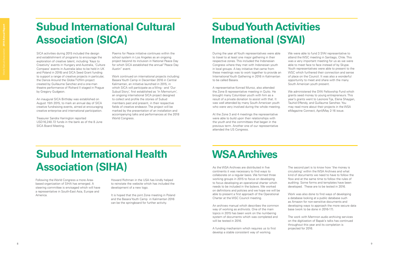

SICA activities during 2015 included the design and establishment of programs to encourage the exploration of creative talent, including 'Keys to Creativity' events in Hungary and Australia, 'Culture Compass' events in Australia (also to be held in UK and Poland in 2016) and SICA Seed Grant funding to support a range of creative projects in particular, the Dance Around the Globe TV/film project created by Guillaume Sanchez and a one-man theatre performance of Richard II staged in Prague by Gregory Gudgeon.

Work continued on international projects including: Basara Youth Camp in December 2016 in Central Kalimantan, an initiative launched in 2015, in which SICA will participate as a Wing - and 'Our Subud Story', first established as 'In Memorium', an ongoing international SICA project designed to collect and profile the stories of Subud members past and present, in their respective fields of creative endeavor. The project will be marked by the presentation of an installation and accompanying talks and performances at the 2018 World Congress.

An inaugural SICA Birthday was established on August 15th 2015, to mark an annual day of SICA creative fundraising events, aimed at encouraging creative enterprise and international participation.

Treasurer Sandra Harrington reported USD16,240.72 funds in the bank as of the 8 June SICA Board Meeting.

Poems for Peace initiative continues within the school system in Los Angeles as an ongoing project beyond its inclusion in National Peace Day for which SICA established the annual"Peace Day Austin" event.

During the year all Youth representatives were able to travel to at least one major gathering in their respective zones. This included the Indonesian Congress where they met with Indonesian youth in local groups. A key initiative that came from these meetings was to work together to provide an International Youth Gathering in 2016 in Kalimantan to be called Basara.

It is hoped that the joint Zone meeting in Poland and the Basara Youth Camp in Kalimantan 2016 can be the springboard for further activity.

A representative Konrad Munoz, also attended the Zone 8 representative meeting in Quito. He brought many Columbian youth with him as a result of a private donation to assist with that. It was well attended by many South American youth who were very involved during the whole meeting.

At the Zone 3 and 4 meetings the representative were able to build upon their relationships with the youth and the committees that began in the previous term. Another one of our representative attended the US Congress.

We were able to fund 3 SYAI representative to attend the WSC meeting in Santiago, Chile. This was a very important meeting for us as we were able to meet face to face instead of by Skype. Youth representatives were able to present to the WSC which furthered their connection and sense of place on the Council. It was also a wonderful opportunity to meet and share with the many South American youth present.

We administered the SYAI Fellowship Fund which grants seed money to young entrepreneurs. This year's grants went to Leonore Tija, Elena Shaygan, Tauhid Effendy, and Guillaume Sanchez. You may read more about their projects in the WSA eMagazine Connect, April/May 2-16 issue.

Following the World Congress a more Areabased organization of SIHA has emerged. A steering committee is envisaged which will have a representative in South-East Asia, Europe and America.

Howard Richman in the USA has kindly helped to reinstate the website which has included the development of a new logo.

As the WSA Archives are distributed in five continents it was necessary to find ways to collaborate on a regular basis. We formed three working groups in 2015 to focus on developing to focus developing an operational charter which needs to be included in the bylaws. We worked on definitions and policies and we hope we will be able to present a first approach of the Operational Charter at the WSC Council meeting.

An archives manual which describes the common way of working as archivists. One of the main topics in 2015 has been work on the numbering system of documents which was completed and will be tested in 2016.

A funding mechanism which requires us to first develop a stable consistent way of working.

The second part is to know how 'the money is circulating' within the WSA Archives and what kind of documents we need to have to follow the flow and at the same time to follow the rules of auditing. Some forms and templates have been developed. These are to be tested in 2016.

Work was also done to find ways of developing a database looking at a public database such as Amazon for non-sensitive documents and developing ways to approach the more secure data base (work to be done in 2016-17).

The work with Memnon audio archiving services on the digitization of Bapak's talks has continued throughout this year and its completion is projected for 2016.

# **Subud Youth Activities International (SYAI)**

# **WSA Archives**

# **Subud International Cultural Association (SICA)**

# **Subud International Health Association (SIHA)**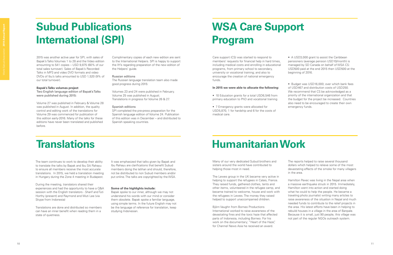2015 was another active year for SPI, with sales of Bapak's Talks Volumes 1 to 28 and the Video edition amounting to 541 copies – USD 9,875 (60% of our total sales turnover). Sales of Bapak's Recorded Talks in MP3 and video DVD formats and video DVDs of Ibu's talks amounted to USD 1,520 (9% of our total turnover).

### **Bapak's Talks volumes project**

Two English language edition of Bapak's Talks were published during 2015:

Volume 27 was published in February & Volume 28 was published in August. In addition, the quality control and editing work of the translations for Volume 29 was commenced for publication of this edition early-2016. Many of the talks for these editions have never been translated and published before.

Complimentary copies of each new edition are sent to the International Helpers. SPI is happy to support the IH's regarding preparation of the new edition of the Helpers' guide.

> • 10 Education grants for a total USD6,546 from primary education to PhD and vocational training

### Russian editions

The Russian language translation team also made good progress during 2015:

Volumes 23 and 24 were published in February. Volume 25 was published in August. Translations in progress for Volume 26 & 27.

### Spanish editions

SPI completed the pre-press preparation for the Spanish language edition of Volume 24. Publication of this edition was in December – and distributed to Spanish speaking countries.

Care support (CS) was started to respond to members' requests for financial help in hard times, including medical costs and enrolling in educational programs, from primary school to secondary, university or vocational training; and also to encourage the creation of national emergency funds.

It was emphasized that talks given by Bapak and Ibu Rahayu are clarifications that benefit Subud members doing the latihan and should, therefore, not be distributed to non Subud members and/or put online. The talks are copyrighted by the WSA.

### **In 2015 we were able to allocate the following:**

. • 7 Emergency grants were allocated for USD5,870, 1 for hardship and 6 for the costs of medical care.

• A USD3,000 grant to assist the Caribbean pensioners (average pension USD10/month) is managed by SD Canada on behalf of WSA CS: USD500 paid at the end 2015 then USD500 at the beginning of 2016.

• Budget was USD16,000; over which bank fees of USD467 and distribution costs of USD250. We recommend that CS be acknowledged as a priority of the international organization and that the budget for the project be increased. Countries also need to be encouraged to create their own

emergency funds.

The team continues to work to develop their ability to translate the talks by Bapak and Ibu Siti Rahayu to ensure all members receive the most accurate translations. In 2015, we held a translation meeting in Hungary during the Zone 4 meeting in Budapest.

During the meeting, translators shared their experiences and had the opportunity to have a Q&A session with the English translators - Sharif and Tuti Horthy (present) and Raymond and Muti Lee (via Skype from Indonesia)

Translations are done and distributed so members can have an inner benefit when reading them in a state of quietness.

### **Some of the highlights include:**

Bapak spoke to our inner, although we may not understand his words with our mind or consider them obsolete. Bapak spoke a familiar language, using simple terms. In the future English may not be the language of reference for translation, keep studying Indonesian.

Many of our very dedicated Subud brothers and sisters around the world have contributed to helping those most in need.

The Lewes group in the UK became very active in helping to support the refugees in Calais, France. They raised funds, gathered clothes, tents and other items, volunteered in the refugee camp, and became trained to welcome, house and work with the refugees in Lewes. The money they raised helped to support unaccompanied children.

Björn Vaughn from Borneo Productions International worked to raise awareness of the devastating fires and the toxic haze that affected parts of Indonesia, including Borneo. For his work on the documentary; "Heart of the Haze", for Channel News Asia he received an award.

The reports helped to raise several thousand dollars which helped to relieve some of the most devastating effects of the smoke for many villagers in the area.

Hamilton Pevec was living in the Nepal area when a massive earthquake struck in 2015. Immediately, Hamilton went into action and started doing what he could to help the people. He became a traveling photo journalist writing many articles to raise awareness of the situation in Nepal and much needed funds to contribute to the relief projects in the area. His latest efforts have been in helping to rebuild houses in a village in the area of Banpale. Because it is small, just 90 people, this village was not part of the regular NGOs outreach system.

# **WSA Care Support Program**

# **Humanitarian Work**

# **Subud Publications International (SPI)**

# **Translations**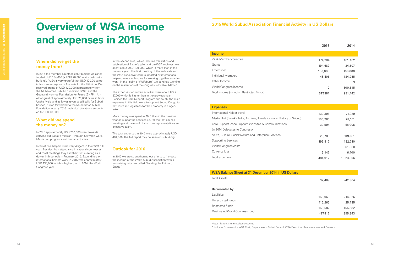Notes: Extracts from audited accounts

\* Includes Expenses for WSA Chair, Deputy, World Subud Council, WSA Executive, Remunerations and Pensions

### **Income**

WSA Member countries Grants **Enterprises** Individual Members Other Income World Congress income Total Income (including Restricted Funds)

### **Expenses**

International Helper travel Media Unit (Bapak's Talks, Archives, Translations and History of Subud) Care Support, Zone Support, Websites & Communications (in 2014 Delegates to Congress) Youth, Culture, Social Welfare and Enterprise Services Supporting Services World Congress costs Currency loss Total expenses

| 2015    | 2014      |
|---------|-----------|
|         |           |
| 174,284 | 161,162   |
| 194,689 | 34,507    |
| 100,000 | 100,000   |
| 48,405  | 184,955   |
| 3       | 3         |
| 0       | 500,515   |
| 517,381 | 981,142   |
|         |           |
|         |           |
| 130,396 | 77,929    |
| 100,780 | 78,101    |
| 30,994  | 48,005    |
|         |           |
| 25,783  | 119,601   |
| 193,812 | 132,710   |
| 0       | 561,060   |
| 3,147   | 6,100     |
| 484,912 | 1,023,506 |
|         |           |
|         |           |
| 32,469  | $-42,364$ |
|         |           |
|         |           |
| 156,965 | 214,626   |
| 115,265 | 25,135    |
| 155,582 | 155,582   |
| 427,812 | 395,343   |

**WSA Balance Sheet at 31 December 2014 in US Dollars**

Total Assets

### **Represented by:**

Liabilities

Unrestricted funds

Restricted funds

Designated World Congress fund

### **Where did we get the money from?**

In 2015 the member countries contributions via zones totaled USD 154,000 (+ USD 20,000 restricted contributions). WSA is very grateful that USD 100,00 came in from an enterprise in Australia for the fifth time. We received grants of USD 120,000 approximately from the Muhammad Subuh Foundation (MSF) and the Guerrand Hermès Foundation for Peace (GHFP). Another grant of approximately USD 70,000 came in from Usaha Mulia and as it was given specifically for Subud houses, it was forwarded to the Muhammad Subuh Foundation in early 2016. Individual donations amounted to USD 48,000.

> In 2016 we are strengthening our efforts to increase the income of the World Subud Association with a fundraising initiative called "Funding the Future of Subud".

### **What did we spend the money on?**

In 2015 approximately USD 290,000 went towards carrying out Bapak's mission - through Kejiwaan work, Media unit programs and human activities.

International helpers were very diligent in their first full year. Besides their attendance in national congresses and zonal meetings they had their first meeting as a dewan in Indonesia in February 2015. Expenditure on international helpers work in 2015 was approximately USD 130,000 which is higher than in 2014, the World Congress year.

In the second area, which includes translation and publication of Bapak's talks and the WSA Archives, we spent about USD 100,000, which is more than in the previous year. The first meeting of the archivists and the WSA executive team, supported by international helpers, was a milestone for working together as a dewan. In the "spirit of Wolfsburg" we continue working on the resolutions of the congress in Puebla, Mexico.

The expenses for human activities were about USD 57,000 which is higher than in the previous year. Besides the Care Support Program and Youth, the main expenses in this field were to support Subud Congo to pay court and legal fees for their property in Kingantoko.

More money was spent in 2015 than in the previous year on supporting services i.e. for the first council meeting and travels of chairs, zone representatives and executive team.

The total expenses in 2015 were approximately USD 481,000. The full report may be seen on subud.org

### **Outlook for 2016**

### **2015 World Subud Association Financial Activity in US Dollars**

# **Overview of WSA income and expenses in 2015**